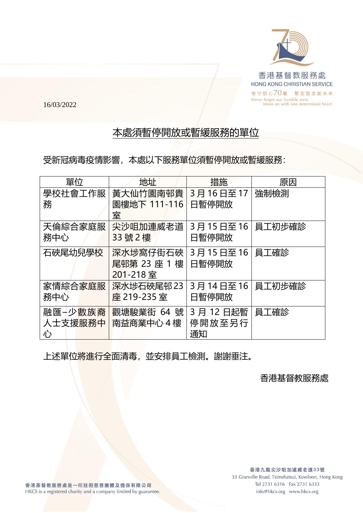

16/03/2022

## 本處須暫停開放或暫緩服務的單位

受新冠病毒疫情影響,本處以下服務單位須暫停開放或暫緩服務:

| 單位                      | 地址                                   | 措施                         | 原因     |
|-------------------------|--------------------------------------|----------------------------|--------|
| 學校社會工作服<br>務            | 黃大仙竹園南邨貴<br>園樓地下 111-116<br>室        | 3月16日至17<br>日暫停開放          | 強制檢測   |
| 天倫綜合家庭服<br>務中心          | 尖沙咀加連威老道<br>33號2樓                    | 3月15日至16<br>日暫停開放          | 員工初步確診 |
| 石硤尾幼兒學校                 | 深水埗窩仔街石硤<br>尾邨第 23 座 1 樓<br>201-218室 | 3月15日至16<br>日暫停開放          | 員工確診   |
| 家情綜合家庭服<br>務中心          | 深水埗石硤尾邨 23<br>座 219-235室             | 3月14日至16<br>日暫停開放          | 員工初步確診 |
| 融匯−少數族裔<br>人士支援服務中<br>心 | 觀塘駿業街 64 號<br>南益商業中心4樓               | 3 月 12 日起暫<br>停開放至另行<br>通知 | 員工確診   |

上述單位將進行全面清毒,並安排員工檢測。謝謝垂注。

## 香港基督教服務處